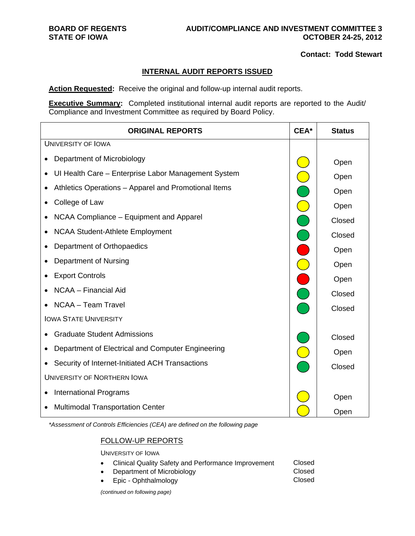## **BOARD OF REGENTS AUDIT/COMPLIANCE AND INVESTMENT COMMITTEE 3**  STATE OF IOWA **COLLEGE OF IOWA OCTOBER 24-25, 2012**

## **Contact: Todd Stewart**

## **INTERNAL AUDIT REPORTS ISSUED**

**Action Requested:** Receive the original and follow-up internal audit reports.

**Executive Summary:** Completed institutional internal audit reports are reported to the Audit/ Compliance and Investment Committee as required by Board Policy.

|                                    | <b>ORIGINAL REPORTS</b>                              | CEA*                                   | <b>Status</b> |
|------------------------------------|------------------------------------------------------|----------------------------------------|---------------|
|                                    | <b>UNIVERSITY OF IOWA</b>                            |                                        |               |
|                                    | Department of Microbiology                           |                                        | Open          |
|                                    | UI Health Care - Enterprise Labor Management System  |                                        | Open          |
|                                    | Athletics Operations - Apparel and Promotional Items | $\begin{bmatrix} 1 \\ 1 \end{bmatrix}$ | Open          |
|                                    | College of Law                                       |                                        | Open          |
|                                    | NCAA Compliance – Equipment and Apparel              |                                        | Closed        |
|                                    | <b>NCAA Student-Athlete Employment</b>               |                                        | Closed        |
|                                    | Department of Orthopaedics                           |                                        | Open          |
|                                    | Department of Nursing                                |                                        | Open          |
|                                    | <b>Export Controls</b>                               |                                        | Open          |
|                                    | NCAA - Financial Aid                                 |                                        | Closed        |
|                                    | NCAA - Team Travel                                   |                                        | Closed        |
|                                    | <b>IOWA STATE UNIVERSITY</b>                         |                                        |               |
|                                    | <b>Graduate Student Admissions</b>                   |                                        | Closed        |
|                                    | Department of Electrical and Computer Engineering    |                                        | Open          |
|                                    | Security of Internet-Initiated ACH Transactions      |                                        | Closed        |
| <b>UNIVERSITY OF NORTHERN IOWA</b> |                                                      |                                        |               |
|                                    | <b>International Programs</b>                        |                                        | Open          |
|                                    | <b>Multimodal Transportation Center</b>              |                                        | Open          |

*\*Assessment of Controls Efficiencies (CEA) are defined on the following page* 

# FOLLOW-UP REPORTS

UNIVERSITY OF IOWA

- Clinical Quality Safety and Performance Improvement Closed
- Department of Microbiology **Closed**
- Epic Ophthalmology Closed

*(continued on following page)*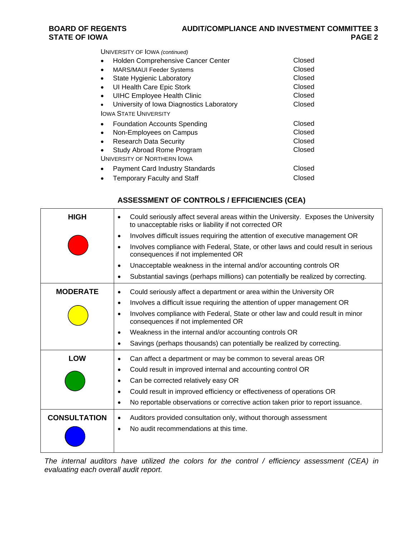UNIVERSITY OF IOWA *(continued)*

|                             | Holden Comprehensive Cancer Center        | Closed |  |  |  |
|-----------------------------|-------------------------------------------|--------|--|--|--|
| $\bullet$                   | <b>MARS/MAUI Feeder Systems</b>           | Closed |  |  |  |
|                             | State Hygienic Laboratory                 | Closed |  |  |  |
| $\bullet$                   | UI Health Care Epic Stork                 | Closed |  |  |  |
|                             | <b>UIHC Employee Health Clinic</b>        | Closed |  |  |  |
|                             | University of Iowa Diagnostics Laboratory | Closed |  |  |  |
|                             | <b>IOWA STATE UNIVERSITY</b>              |        |  |  |  |
|                             | Foundation Accounts Spending              | Closed |  |  |  |
|                             | Non-Employees on Campus                   | Closed |  |  |  |
| ٠                           | <b>Research Data Security</b>             | Closed |  |  |  |
|                             | Study Abroad Rome Program                 | Closed |  |  |  |
| UNIVERSITY OF NORTHERN IOWA |                                           |        |  |  |  |
|                             | <b>Payment Card Industry Standards</b>    | Closed |  |  |  |
|                             | <b>Temporary Faculty and Staff</b>        | Closed |  |  |  |

# **ASSESSMENT OF CONTROLS / EFFICIENCIES (CEA)**

| <b>HIGH</b>         | Could seriously affect several areas within the University. Exposes the University<br>٠<br>to unacceptable risks or liability if not corrected OR |
|---------------------|---------------------------------------------------------------------------------------------------------------------------------------------------|
|                     | Involves difficult issues requiring the attention of executive management OR<br>٠                                                                 |
|                     | Involves compliance with Federal, State, or other laws and could result in serious<br>$\bullet$<br>consequences if not implemented OR             |
|                     | Unacceptable weakness in the internal and/or accounting controls OR<br>$\bullet$                                                                  |
|                     | Substantial savings (perhaps millions) can potentially be realized by correcting.<br>$\bullet$                                                    |
| <b>MODERATE</b>     | Could seriously affect a department or area within the University OR<br>$\bullet$                                                                 |
|                     | Involves a difficult issue requiring the attention of upper management OR<br>$\bullet$                                                            |
|                     | Involves compliance with Federal, State or other law and could result in minor<br>٠<br>consequences if not implemented OR                         |
|                     | Weakness in the internal and/or accounting controls OR<br>$\bullet$                                                                               |
|                     | Savings (perhaps thousands) can potentially be realized by correcting.<br>$\bullet$                                                               |
| <b>LOW</b>          | Can affect a department or may be common to several areas OR<br>٠                                                                                 |
|                     | Could result in improved internal and accounting control OR<br>$\bullet$                                                                          |
|                     | Can be corrected relatively easy OR<br>٠                                                                                                          |
|                     | Could result in improved efficiency or effectiveness of operations OR<br>$\bullet$                                                                |
|                     | No reportable observations or corrective action taken prior to report issuance.<br>$\bullet$                                                      |
| <b>CONSULTATION</b> | Auditors provided consultation only, without thorough assessment<br>$\bullet$                                                                     |
|                     | No audit recommendations at this time.<br>$\bullet$                                                                                               |

*The internal auditors have utilized the colors for the control / efficiency assessment (CEA) in evaluating each overall audit report.*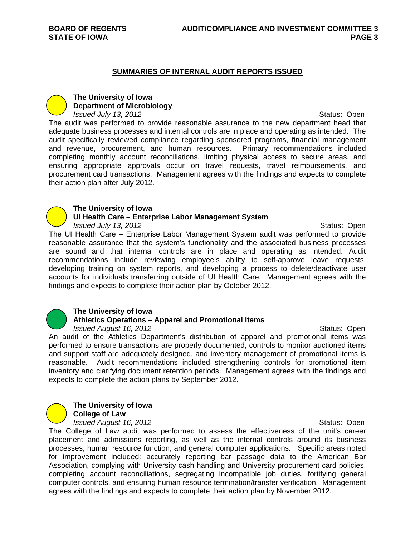#### **SUMMARIES OF INTERNAL AUDIT REPORTS ISSUED**

# **The University of Iowa Department of Microbiology**

*Issued July 13, 2012*<br> **ISSUED 3: 2012** 

The audit was performed to provide reasonable assurance to the new department head that adequate business processes and internal controls are in place and operating as intended. The audit specifically reviewed compliance regarding sponsored programs, financial management and revenue, procurement, and human resources. Primary recommendations included completing monthly account reconciliations, limiting physical access to secure areas, and ensuring appropriate approvals occur on travel requests, travel reimbursements, and procurement card transactions. Management agrees with the findings and expects to complete their action plan after July 2012.

#### **The University of Iowa**

#### **UI Health Care – Enterprise Labor Management System**

*Issued July 13, 2012*<br> **ISSUED 3: 2012** The UI Health Care – Enterprise Labor Management System audit was performed to provide reasonable assurance that the system's functionality and the associated business processes are sound and that internal controls are in place and operating as intended. Audit recommendations include reviewing employee's ability to self-approve leave requests, developing training on system reports, and developing a process to delete/deactivate user accounts for individuals transferring outside of UI Health Care. Management agrees with the findings and expects to complete their action plan by October 2012.



## **The University of Iowa Athletics Operations – Apparel and Promotional Items**  *Issued August 16, 2012*<br> **ISSUED August 16, 2012**

An audit of the Athletics Department's distribution of apparel and promotional items was performed to ensure transactions are properly documented, controls to monitor auctioned items and support staff are adequately designed, and inventory management of promotional items is reasonable. Audit recommendations included strengthening controls for promotional item inventory and clarifying document retention periods. Management agrees with the findings and expects to complete the action plans by September 2012.



**The University of Iowa** 

**College of Law** 

*Issued August 16, 2012*<br> **ISSUED August 16, 2012** The College of Law audit was performed to assess the effectiveness of the unit's career placement and admissions reporting, as well as the internal controls around its business processes, human resource function, and general computer applications. Specific areas noted for improvement included: accurately reporting bar passage data to the American Bar Association, complying with University cash handling and University procurement card policies, completing account reconciliations, segregating incompatible job duties, fortifying general computer controls, and ensuring human resource termination/transfer verification. Management agrees with the findings and expects to complete their action plan by November 2012.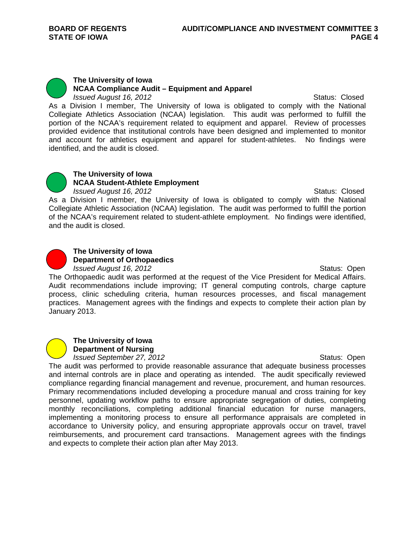

**The University of Iowa NCAA Compliance Audit – Equipment and Apparel** 

*Issued August 16, 2012*<br> **ISSUED 3: 2012** As a Division I member, The University of Iowa is obligated to comply with the National Collegiate Athletics Association (NCAA) legislation. This audit was performed to fulfill the portion of the NCAA's requirement related to equipment and apparel. Review of processes provided evidence that institutional controls have been designed and implemented to monitor and account for athletics equipment and apparel for student-athletes. No findings were identified, and the audit is closed.



## **The University of Iowa NCAA Student-Athlete Employment**

*Issued August 16, 2012* **Status: Closed** Status: Closed As a Division I member, the University of Iowa is obligated to comply with the National Collegiate Athletic Association (NCAA) legislation. The audit was performed to fulfill the portion of the NCAA's requirement related to student-athlete employment. No findings were identified, and the audit is closed.



**The University of Iowa Department of Orthopaedics** 

*Issued August 16, 2012*<br> **ISSUED August 16, 2012** 

The Orthopaedic audit was performed at the request of the Vice President for Medical Affairs. Audit recommendations include improving; IT general computing controls, charge capture process, clinic scheduling criteria, human resources processes, and fiscal management practices. Management agrees with the findings and expects to complete their action plan by January 2013.



*Issued September 27, 2012 ISSUED <b>Status: Open* 

The audit was performed to provide reasonable assurance that adequate business processes and internal controls are in place and operating as intended. The audit specifically reviewed compliance regarding financial management and revenue, procurement, and human resources. Primary recommendations included developing a procedure manual and cross training for key personnel, updating workflow paths to ensure appropriate segregation of duties, completing monthly reconciliations, completing additional financial education for nurse managers, implementing a monitoring process to ensure all performance appraisals are completed in accordance to University policy, and ensuring appropriate approvals occur on travel, travel reimbursements, and procurement card transactions. Management agrees with the findings and expects to complete their action plan after May 2013.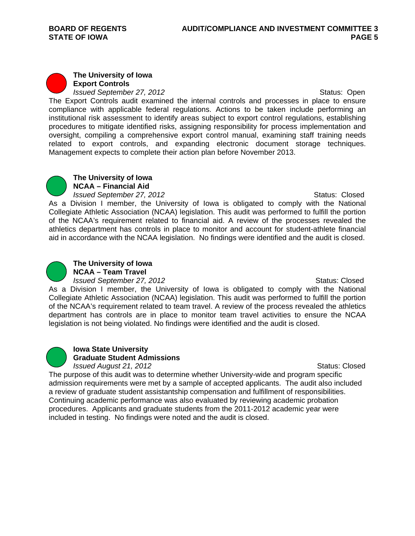## **The University of Iowa Export Controls**  *Issued September 27, 2012 ISSUED <b>Status: Open*

The Export Controls audit examined the internal controls and processes in place to ensure compliance with applicable federal regulations. Actions to be taken include performing an institutional risk assessment to identify areas subject to export control regulations, establishing procedures to mitigate identified risks, assigning responsibility for process implementation and oversight, compiling a comprehensive export control manual, examining staff training needs related to export controls, and expanding electronic document storage techniques. Management expects to complete their action plan before November 2013.



#### **The University of Iowa NCAA – Financial Aid**

*Issued September 27, 2012*<br> **ISSUED 35 ASSEM**<br>
Status: Closed

As a Division I member, the University of Iowa is obligated to comply with the National Collegiate Athletic Association (NCAA) legislation. This audit was performed to fulfill the portion of the NCAA's requirement related to financial aid. A review of the processes revealed the athletics department has controls in place to monitor and account for student-athlete financial aid in accordance with the NCAA legislation. No findings were identified and the audit is closed.



# **The University of Iowa NCAA – Team Travel**

*Issued September 27, 2012* **Status: Closed** Status: Closed

As a Division I member, the University of Iowa is obligated to comply with the National Collegiate Athletic Association (NCAA) legislation. This audit was performed to fulfill the portion of the NCAA's requirement related to team travel. A review of the process revealed the athletics department has controls are in place to monitor team travel activities to ensure the NCAA legislation is not being violated. No findings were identified and the audit is closed.



# **Iowa State University Graduate Student Admissions**

*Issued August 21, 2012*<br> **Issued August 21, 2012** The purpose of this audit was to determine whether University-wide and program specific admission requirements were met by a sample of accepted applicants. The audit also included a review of graduate student assistantship compensation and fulfillment of responsibilities. Continuing academic performance was also evaluated by reviewing academic probation procedures. Applicants and graduate students from the 2011-2012 academic year were included in testing. No findings were noted and the audit is closed.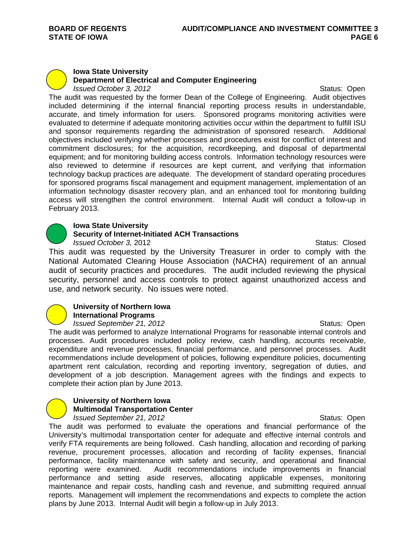# **Iowa State University Department of Electrical and Computer Engineering**

*Issued October 3, 2012 ISSUED <b>Status: Open* The audit was requested by the former Dean of the College of Engineering. Audit objectives included determining if the internal financial reporting process results in understandable, accurate, and timely information for users. Sponsored programs monitoring activities were evaluated to determine if adequate monitoring activities occur within the department to fulfill ISU and sponsor requirements regarding the administration of sponsored research. Additional objectives included verifying whether processes and procedures exist for conflict of interest and commitment disclosures; for the acquisition, recordkeeping, and disposal of departmental equipment; and for monitoring building access controls. Information technology resources were also reviewed to determine if resources are kept current, and verifying that information technology backup practices are adequate. The development of standard operating procedures for sponsored programs fiscal management and equipment management, implementation of an information technology disaster recovery plan, and an enhanced tool for monitoring building access will strengthen the control environment. Internal Audit will conduct a follow-up in February 2013.

## **Iowa State University**

## **Security of Internet-Initiated ACH Transactions**

*Issued October 3, 2012* Status: Closed

This audit was requested by the University Treasurer in order to comply with the National Automated Clearing House Association (NACHA) requirement of an annual audit of security practices and procedures. The audit included reviewing the physical security, personnel and access controls to protect against unauthorized access and use, and network security. No issues were noted.

#### **University of Northern Iowa International Programs**

*Issued September 21, 2012* **Status: Open** Status: Open

The audit was performed to analyze International Programs for reasonable internal controls and processes. Audit procedures included policy review, cash handling, accounts receivable, expenditure and revenue processes, financial performance, and personnel processes. Audit recommendations include development of policies, following expenditure policies, documenting apartment rent calculation, recording and reporting inventory, segregation of duties, and development of a job description. Management agrees with the findings and expects to complete their action plan by June 2013.

#### **University of Northern Iowa Multimodal Transportation Center**  *Issued September 21, 2012* **Status: Open** Status: Open

The audit was performed to evaluate the operations and financial performance of the University's multimodal transportation center for adequate and effective internal controls and verify FTA requirements are being followed. Cash handling, allocation and recording of parking revenue, procurement processes, allocation and recording of facility expenses, financial performance, facility maintenance with safety and security, and operational and financial reporting were examined. Audit recommendations include improvements in financial performance and setting aside reserves, allocating applicable expenses, monitoring maintenance and repair costs, handling cash and revenue, and submitting required annual reports. Management will implement the recommendations and expects to complete the action plans by June 2013. Internal Audit will begin a follow-up in July 2013.

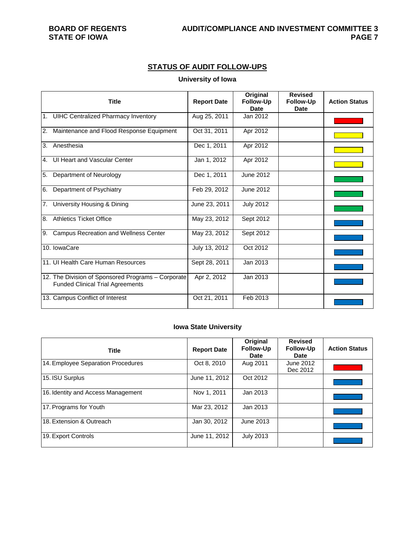# **STATUS OF AUDIT FOLLOW-UPS**

# **University of Iowa**

| <b>Title</b>                                                                                  | <b>Report Date</b> | Original<br><b>Follow-Up</b><br>Date | <b>Revised</b><br><b>Follow-Up</b><br>Date | <b>Action Status</b> |
|-----------------------------------------------------------------------------------------------|--------------------|--------------------------------------|--------------------------------------------|----------------------|
| 1. UIHC Centralized Pharmacy Inventory                                                        | Aug 25, 2011       | Jan 2012                             |                                            |                      |
| Maintenance and Flood Response Equipment<br>2.                                                | Oct 31, 2011       | Apr 2012                             |                                            |                      |
| Anesthesia<br>3.                                                                              | Dec 1, 2011        | Apr 2012                             |                                            |                      |
| UI Heart and Vascular Center<br>4.                                                            | Jan 1, 2012        | Apr 2012                             |                                            |                      |
| 5.<br>Department of Neurology                                                                 | Dec 1, 2011        | June 2012                            |                                            |                      |
| Department of Psychiatry<br>6.                                                                | Feb 29, 2012       | June 2012                            |                                            |                      |
| University Housing & Dining<br>7.                                                             | June 23, 2011      | <b>July 2012</b>                     |                                            |                      |
| <b>Athletics Ticket Office</b><br>8.                                                          | May 23, 2012       | Sept 2012                            |                                            |                      |
| <b>Campus Recreation and Wellness Center</b><br>9.                                            | May 23, 2012       | Sept 2012                            |                                            |                      |
| 10. IowaCare                                                                                  | July 13, 2012      | Oct 2012                             |                                            |                      |
| 11. Ul Health Care Human Resources                                                            | Sept 28, 2011      | Jan 2013                             |                                            |                      |
| 12. The Division of Sponsored Programs - Corporate<br><b>Funded Clinical Trial Agreements</b> | Apr 2, 2012        | Jan 2013                             |                                            |                      |
| 13. Campus Conflict of Interest                                                               | Oct 21, 2011       | Feb 2013                             |                                            |                      |

# **Iowa State University**

| <b>Title</b>                       | <b>Report Date</b> | Original<br><b>Follow-Up</b><br>Date | <b>Revised</b><br><b>Follow-Up</b><br><b>Date</b> | <b>Action Status</b> |
|------------------------------------|--------------------|--------------------------------------|---------------------------------------------------|----------------------|
| 14. Employee Separation Procedures | Oct 8, 2010        | Aug 2011                             | June 2012<br>Dec 2012                             |                      |
| 15. ISU Surplus                    | June 11, 2012      | Oct 2012                             |                                                   |                      |
| 16. Identity and Access Management | Nov 1, 2011        | Jan 2013                             |                                                   |                      |
| 17. Programs for Youth             | Mar 23, 2012       | Jan 2013                             |                                                   |                      |
| 18. Extension & Outreach           | Jan 30, 2012       | June 2013                            |                                                   |                      |
| 19. Export Controls                | June 11, 2012      | <b>July 2013</b>                     |                                                   |                      |